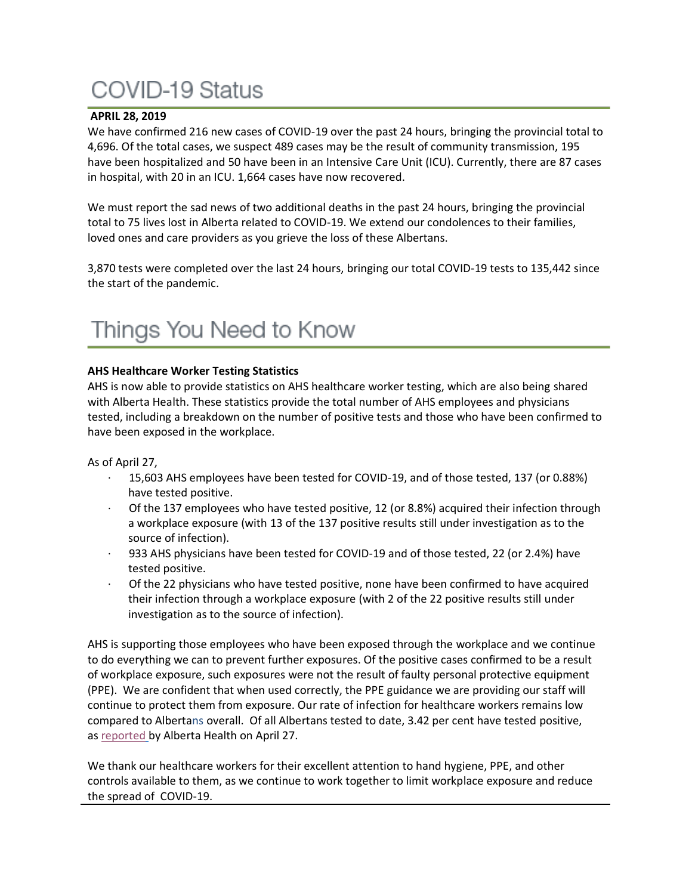# **COVID-19 Status**

### **APRIL 28, 2019**

We have confirmed 216 new cases of COVID-19 over the past 24 hours, bringing the provincial total to 4,696. Of the total cases, we suspect 489 cases may be the result of community transmission, 195 have been hospitalized and 50 have been in an Intensive Care Unit (ICU). Currently, there are 87 cases in hospital, with 20 in an ICU. 1,664 cases have now recovered.

We must report the sad news of two additional deaths in the past 24 hours, bringing the provincial total to 75 lives lost in Alberta related to COVID-19. We extend our condolences to their families, loved ones and care providers as you grieve the loss of these Albertans.

3,870 tests were completed over the last 24 hours, bringing our total COVID-19 tests to 135,442 since the start of the pandemic.

# Things You Need to Know

## **AHS Healthcare Worker Testing Statistics**

AHS is now able to provide statistics on AHS healthcare worker testing, which are also being shared with Alberta Health. These statistics provide the total number of AHS employees and physicians tested, including a breakdown on the number of positive tests and those who have been confirmed to have been exposed in the workplace.

As of April 27,

- · 15,603 AHS employees have been tested for COVID-19, and of those tested, 137 (or 0.88%) have tested positive.
- Of the 137 employees who have tested positive, 12 (or 8.8%) acquired their infection through a workplace exposure (with 13 of the 137 positive results still under investigation as to the source of infection).
- · 933 AHS physicians have been tested for COVID-19 and of those tested, 22 (or 2.4%) have tested positive.
- · Of the 22 physicians who have tested positive, none have been confirmed to have acquired their infection through a workplace exposure (with 2 of the 22 positive results still under investigation as to the source of infection).

AHS is supporting those employees who have been exposed through the workplace and we continue to do everything we can to prevent further exposures. Of the positive cases confirmed to be a result of workplace exposure, such exposures were not the result of faulty personal protective equipment (PPE). We are confident that when used correctly, the PPE guidance we are providing our staff will continue to protect them from exposure. Our rate of infection for healthcare workers remains low compared to Albertans overall. Of all Albertans tested to date, 3.42 per cent have tested positive, as [reported](https://covid19stats.alberta.ca/) by Alberta Health on April 27.

We thank our healthcare workers for their excellent attention to hand hygiene, PPE, and other controls available to them, as we continue to work together to limit workplace exposure and reduce the spread of COVID-19.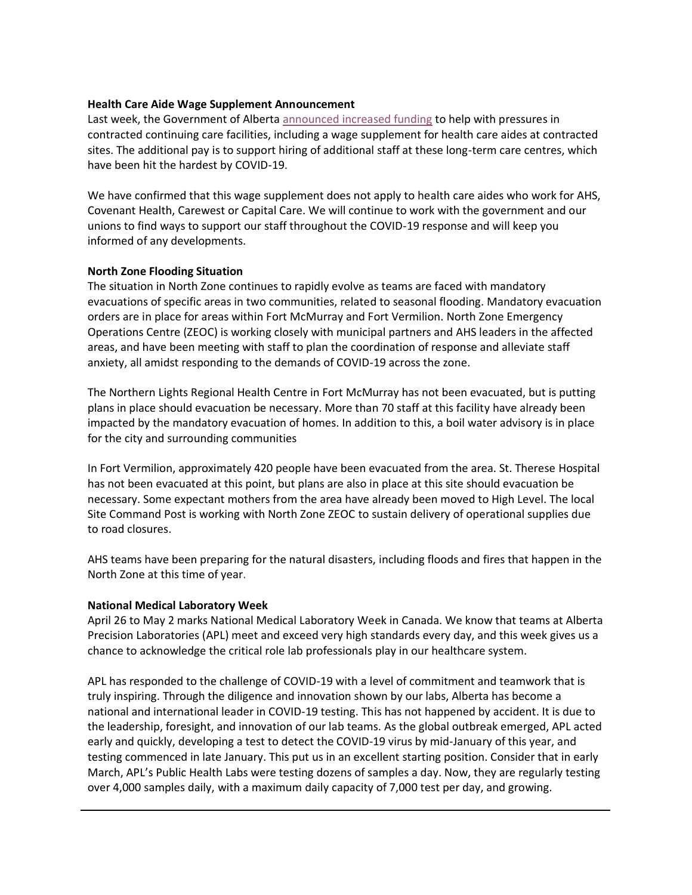### **Health Care Aide Wage Supplement Announcement**

Last week, the Government of Alberta [announced increased funding](https://www.alberta.ca/release.cfm?xID=70127FF594C5C-CE00-2934-863516C3FEDF723E) to help with pressures in contracted continuing care facilities, including a wage supplement for health care aides at contracted sites. The additional pay is to support hiring of additional staff at these long-term care centres, which have been hit the hardest by COVID-19.

We have confirmed that this wage supplement does not apply to health care aides who work for AHS, Covenant Health, Carewest or Capital Care. We will continue to work with the government and our unions to find ways to support our staff throughout the COVID-19 response and will keep you informed of any developments.

### **North Zone Flooding Situation**

The situation in North Zone continues to rapidly evolve as teams are faced with mandatory evacuations of specific areas in two communities, related to seasonal flooding. Mandatory evacuation orders are in place for areas within Fort McMurray and Fort Vermilion. North Zone Emergency Operations Centre (ZEOC) is working closely with municipal partners and AHS leaders in the affected areas, and have been meeting with staff to plan the coordination of response and alleviate staff anxiety, all amidst responding to the demands of COVID-19 across the zone.

The Northern Lights Regional Health Centre in Fort McMurray has not been evacuated, but is putting plans in place should evacuation be necessary. More than 70 staff at this facility have already been impacted by the mandatory evacuation of homes. In addition to this, a boil water advisory is in place for the city and surrounding communities

In Fort Vermilion, approximately 420 people have been evacuated from the area. St. Therese Hospital has not been evacuated at this point, but plans are also in place at this site should evacuation be necessary. Some expectant mothers from the area have already been moved to High Level. The local Site Command Post is working with North Zone ZEOC to sustain delivery of operational supplies due to road closures.

AHS teams have been preparing for the natural disasters, including floods and fires that happen in the North Zone at this time of year.

### **National Medical Laboratory Week**

April 26 to May 2 marks National Medical Laboratory Week in Canada. We know that teams at Alberta Precision Laboratories (APL) meet and exceed very high standards every day, and this week gives us a chance to acknowledge the critical role lab professionals play in our healthcare system.

APL has responded to the challenge of COVID-19 with a level of commitment and teamwork that is truly inspiring. Through the diligence and innovation shown by our labs, Alberta has become a national and international leader in COVID-19 testing. This has not happened by accident. It is due to the leadership, foresight, and innovation of our lab teams. As the global outbreak emerged, APL acted early and quickly, developing a test to detect the COVID-19 virus by mid-January of this year, and testing commenced in late January. This put us in an excellent starting position. Consider that in early March, APL's Public Health Labs were testing dozens of samples a day. Now, they are regularly testing over 4,000 samples daily, with a maximum daily capacity of 7,000 test per day, and growing.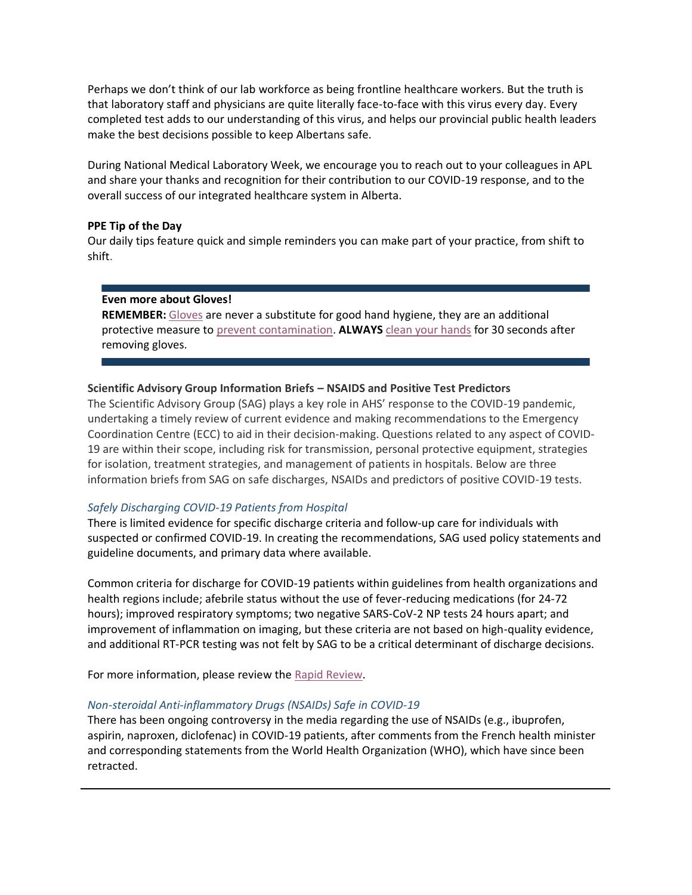Perhaps we don't think of our lab workforce as being frontline healthcare workers. But the truth is that laboratory staff and physicians are quite literally face-to-face with this virus every day. Every completed test adds to our understanding of this virus, and helps our provincial public health leaders make the best decisions possible to keep Albertans safe.

During National Medical Laboratory Week, we encourage you to reach out to your colleagues in APL and share your thanks and recognition for their contribution to our COVID-19 response, and to the overall success of our integrated healthcare system in Alberta.

#### **PPE Tip of the Day**

Our daily tips feature quick and simple reminders you can make part of your practice, from shift to shift.

#### **Even more about Gloves!**

**REMEMBER:** [Gloves](https://www.albertahealthservices.ca/assets/healthinfo/ipc/hi-ipc-glove-fact-sheet-cc.pdf) are never a substitute for good hand hygiene, they are an additional protective measure to [prevent contamination.](https://www.albertahealthservices.ca/assets/healthinfo/ipc/hi-ipc-routine-practices-info.pdf) **ALWAYS** [clean your hands](https://www.albertahealthservices.ca/assets/healthinfo/ipc/if-hp-ipc-flu-handwash-how-to.pdf) for 30 seconds after removing gloves.

#### **Scientific Advisory Group Information Briefs – NSAIDS and Positive Test Predictors**

The Scientific Advisory Group (SAG) plays a key role in AHS' response to the COVID-19 pandemic, undertaking a timely review of current evidence and making recommendations to the Emergency Coordination Centre (ECC) to aid in their decision-making. Questions related to any aspect of COVID-19 are within their scope, including risk for transmission, personal protective equipment, strategies for isolation, treatment strategies, and management of patients in hospitals. Below are three information briefs from SAG on safe discharges, NSAIDs and predictors of positive COVID-19 tests.

#### *Safely Discharging COVID-19 Patients from Hospital*

There is limited evidence for specific discharge criteria and follow-up care for individuals with suspected or confirmed COVID-19. In creating the recommendations, SAG used policy statements and guideline documents, and primary data where available.

Common criteria for discharge for COVID-19 patients within guidelines from health organizations and health regions include; afebrile status without the use of fever-reducing medications (for 24-72 hours); improved respiratory symptoms; two negative SARS-CoV-2 NP tests 24 hours apart; and improvement of inflammation on imaging, but these criteria are not based on high-quality evidence, and additional RT-PCR testing was not felt by SAG to be a critical determinant of discharge decisions.

For more information, please review the [Rapid Review.](https://www.albertahealthservices.ca/assets/info/ppih/if-ppih-covid-19-sag-criteria-for-safe-discharge-from-hospital-rapid-review.pdf)

#### *Non-steroidal Anti-inflammatory Drugs (NSAIDs) Safe in COVID-19*

There has been ongoing controversy in the media regarding the use of NSAIDs (e.g., ibuprofen, aspirin, naproxen, diclofenac) in COVID-19 patients, after comments from the French health minister and corresponding statements from the World Health Organization (WHO), which have since been retracted.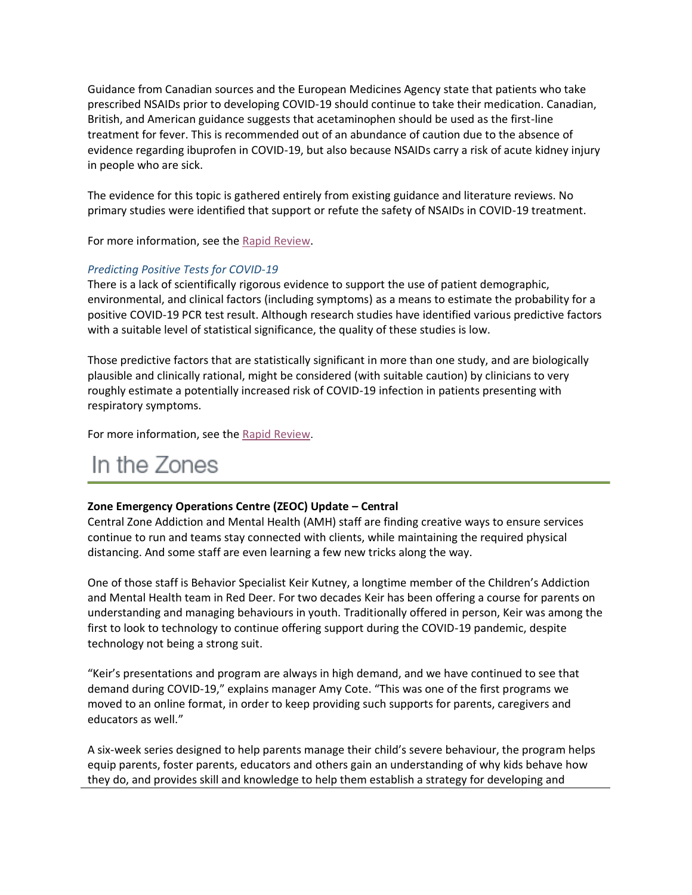Guidance from Canadian sources and the European Medicines Agency state that patients who take prescribed NSAIDs prior to developing COVID-19 should continue to take their medication. Canadian, British, and American guidance suggests that acetaminophen should be used as the first-line treatment for fever. This is recommended out of an abundance of caution due to the absence of evidence regarding ibuprofen in COVID-19, but also because NSAIDs carry a risk of acute kidney injury in people who are sick.

The evidence for this topic is gathered entirely from existing guidance and literature reviews. No primary studies were identified that support or refute the safety of NSAIDs in COVID-19 treatment.

For more information, see the [Rapid Review.](https://www.albertahealthservices.ca/assets/info/ppih/if-ppih-covid-19-sag-use-of-non-steroidal-anti-inflammatory-drugs-rapid-review.pdf)

## *Predicting Positive Tests for COVID-19*

There is a lack of scientifically rigorous evidence to support the use of patient demographic, environmental, and clinical factors (including symptoms) as a means to estimate the probability for a positive COVID-19 PCR test result. Although research studies have identified various predictive factors with a suitable level of statistical significance, the quality of these studies is low.

Those predictive factors that are statistically significant in more than one study, and are biologically plausible and clinically rational, might be considered (with suitable caution) by clinicians to very roughly estimate a potentially increased risk of COVID-19 infection in patients presenting with respiratory symptoms.

For more information, see the [Rapid Review](https://www.albertahealthservices.ca/assets/info/ppih/if-ppih-covid-19-sag-predictors-of-a-positive-test-result-rapid-review.pdf).

# In the Zones

# **Zone Emergency Operations Centre (ZEOC) Update – Central**

Central Zone Addiction and Mental Health (AMH) staff are finding creative ways to ensure services continue to run and teams stay connected with clients, while maintaining the required physical distancing. And some staff are even learning a few new tricks along the way.

One of those staff is Behavior Specialist Keir Kutney, a longtime member of the Children's Addiction and Mental Health team in Red Deer. For two decades Keir has been offering a course for parents on understanding and managing behaviours in youth. Traditionally offered in person, Keir was among the first to look to technology to continue offering support during the COVID-19 pandemic, despite technology not being a strong suit.

"Keir's presentations and program are always in high demand, and we have continued to see that demand during COVID-19," explains manager Amy Cote. "This was one of the first programs we moved to an online format, in order to keep providing such supports for parents, caregivers and educators as well."

A six-week series designed to help parents manage their child's severe behaviour, the program helps equip parents, foster parents, educators and others gain an understanding of why kids behave how they do, and provides skill and knowledge to help them establish a strategy for developing and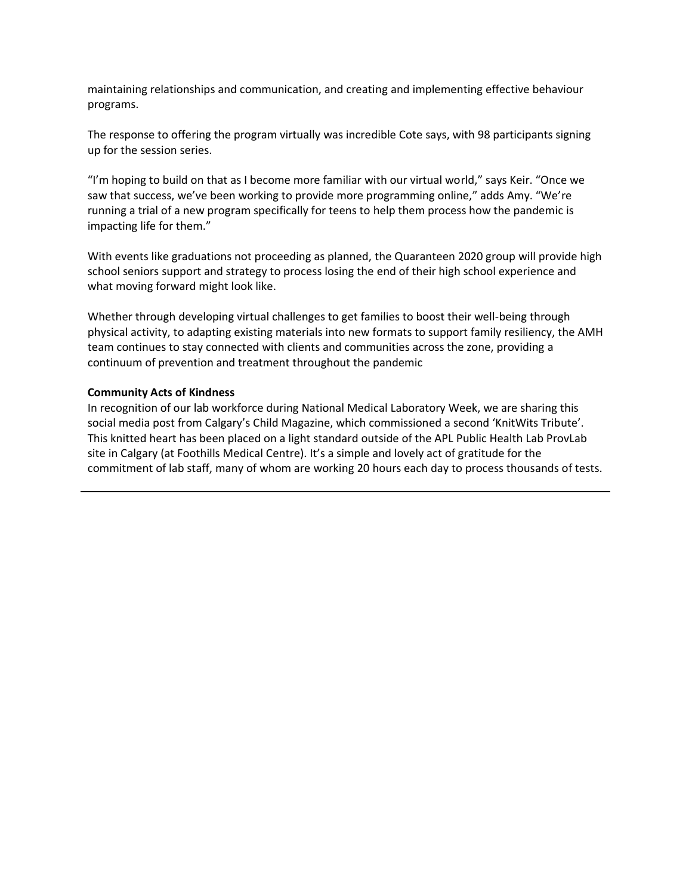maintaining relationships and communication, and creating and implementing effective behaviour programs.

The response to offering the program virtually was incredible Cote says, with 98 participants signing up for the session series.

"I'm hoping to build on that as I become more familiar with our virtual world," says Keir. "Once we saw that success, we've been working to provide more programming online," adds Amy. "We're running a trial of a new program specifically for teens to help them process how the pandemic is impacting life for them."

With events like graduations not proceeding as planned, the Quaranteen 2020 group will provide high school seniors support and strategy to process losing the end of their high school experience and what moving forward might look like.

Whether through developing virtual challenges to get families to boost their well-being through physical activity, to adapting existing materials into new formats to support family resiliency, the AMH team continues to stay connected with clients and communities across the zone, providing a continuum of prevention and treatment throughout the pandemic

#### **Community Acts of Kindness**

In recognition of our lab workforce during National Medical Laboratory Week, we are sharing this social media post from Calgary's Child Magazine, which commissioned a second 'KnitWits Tribute'. This knitted heart has been placed on a light standard outside of the APL Public Health Lab ProvLab site in Calgary (at Foothills Medical Centre). It's a simple and lovely act of gratitude for the commitment of lab staff, many of whom are working 20 hours each day to process thousands of tests.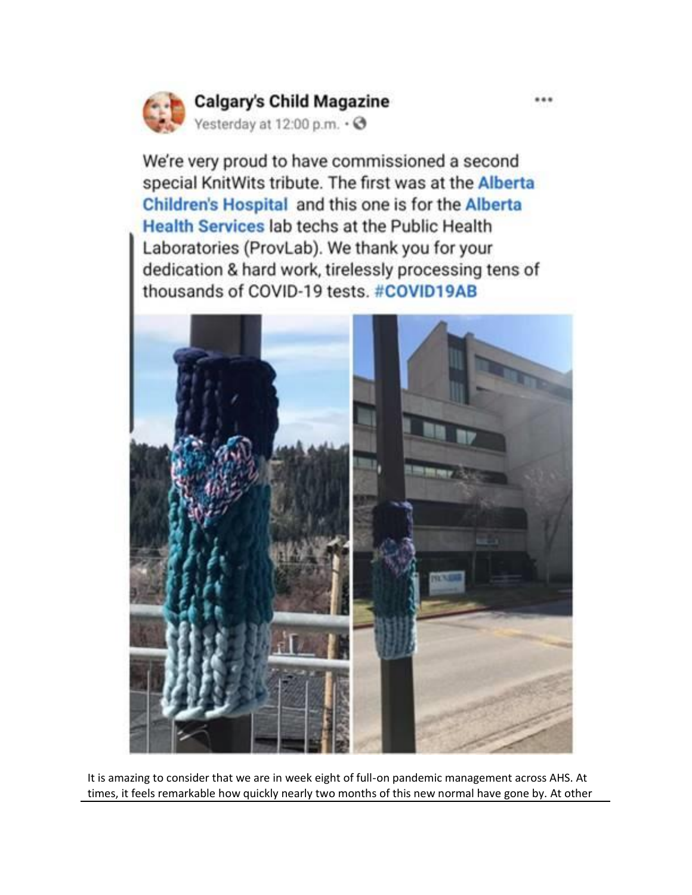

# **Calgary's Child Magazine**

Yesterday at 12:00 p.m. . @

We're very proud to have commissioned a second special KnitWits tribute. The first was at the Alberta Children's Hospital and this one is for the Alberta Health Services lab techs at the Public Health Laboratories (ProvLab). We thank you for your dedication & hard work, tirelessly processing tens of thousands of COVID-19 tests. #COVID19AB



It is amazing to consider that we are in week eight of full-on pandemic management across AHS. At times, it feels remarkable how quickly nearly two months of this new normal have gone by. At other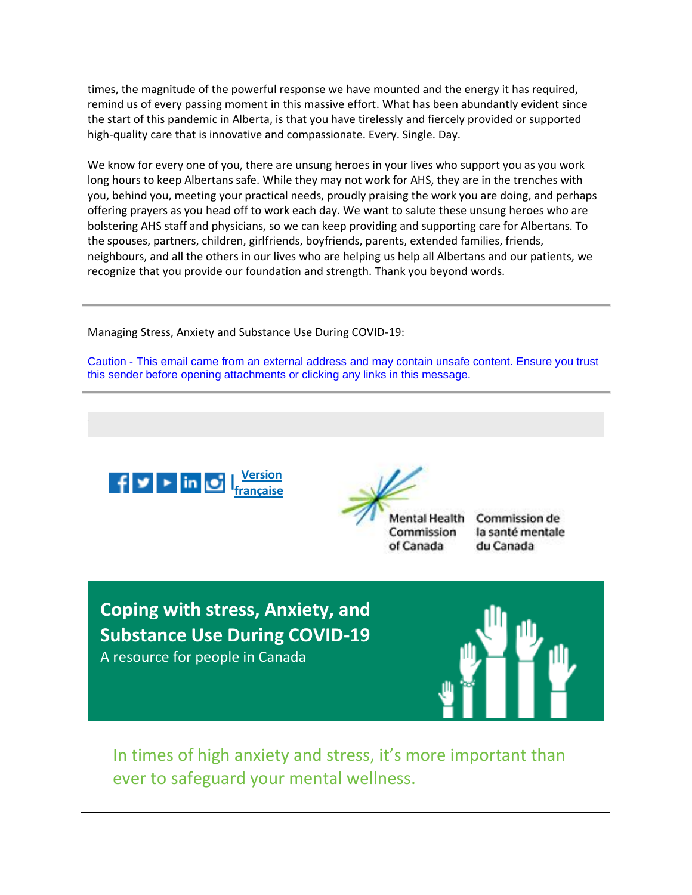times, the magnitude of the powerful response we have mounted and the energy it has required, remind us of every passing moment in this massive effort. What has been abundantly evident since the start of this pandemic in Alberta, is that you have tirelessly and fiercely provided or supported high-quality care that is innovative and compassionate. Every. Single. Day.

We know for every one of you, there are unsung heroes in your lives who support you as you work long hours to keep Albertans safe. While they may not work for AHS, they are in the trenches with you, behind you, meeting your practical needs, proudly praising the work you are doing, and perhaps offering prayers as you head off to work each day. We want to salute these unsung heroes who are bolstering AHS staff and physicians, so we can keep providing and supporting care for Albertans. To the spouses, partners, children, girlfriends, boyfriends, parents, extended families, friends, neighbours, and all the others in our lives who are helping us help all Albertans and our patients, we recognize that you provide our foundation and strength. Thank you beyond words.

Managing Stress, Anxiety and Substance Use During COVID-19:

Caution - This email came from an external address and may contain unsafe content. Ensure you trust this sender before opening attachments or clicking any links in this message.



**Mental Health** Commission of Canada

Commission de la santé mentale du Canada

**Coping with stress, Anxiety, and Substance Use During COVID-19** A resource for people in Canada



In times of high anxiety and stress, it's more important than ever to safeguard your mental wellness.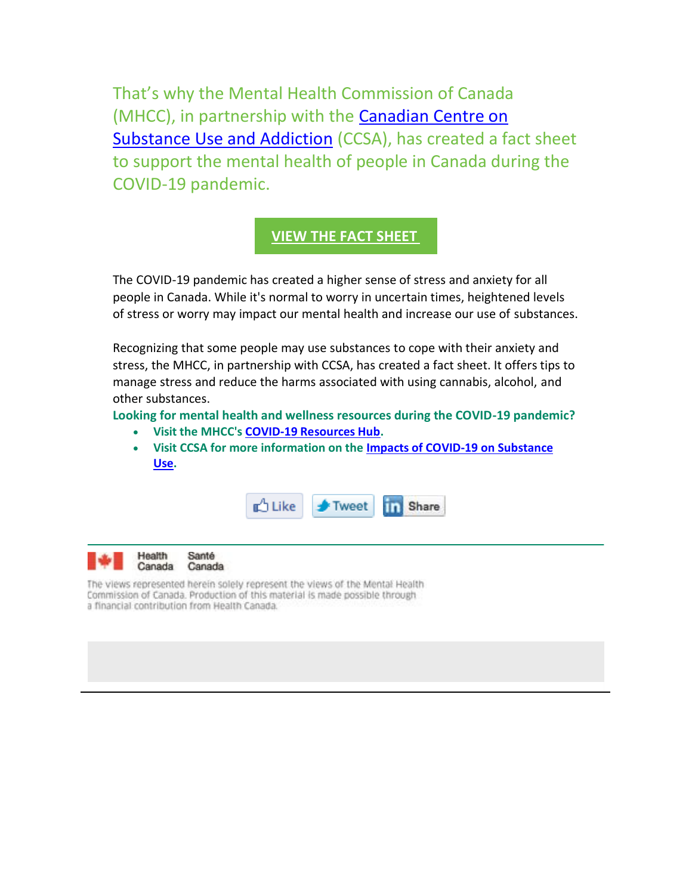That's why the Mental Health Commission of Canada (MHCC), in partnership with the [Canadian Centre on](https://cts.vresp.com/c/?MentalHealthCommissi/62c297a365/ed4edcd803/508556c0fb)  [Substance Use and Addiction](https://cts.vresp.com/c/?MentalHealthCommissi/62c297a365/ed4edcd803/508556c0fb) (CCSA), has created a fact sheet to support the mental health of people in Canada during the COVID-19 pandemic.

# **[VIEW THE FACT SHEET](https://cts.vresp.com/c/?MentalHealthCommissi/62c297a365/ed4edcd803/7a6e313255)**

The COVID-19 pandemic has created a higher sense of stress and anxiety for all people in Canada. While it's normal to worry in uncertain times, heightened levels of stress or worry may impact our mental health and increase our use of substances.

Recognizing that some people may use substances to cope with their anxiety and stress, the MHCC, in partnership with CCSA, has created a fact sheet. It offers tips to manage stress and reduce the harms associated with using cannabis, alcohol, and other substances.

**Looking for mental health and wellness resources during the COVID-19 pandemic?**

- **Visit the MHCC's [COVID-19 Resources Hub.](https://cts.vresp.com/c/?MentalHealthCommissi/62c297a365/ed4edcd803/78fbcc7bf0)**
- **Visit CCSA for more information on the [Impacts of COVID-19 on Substance](https://cts.vresp.com/c/?MentalHealthCommissi/62c297a365/ed4edcd803/97b37d7513)  [Use.](https://cts.vresp.com/c/?MentalHealthCommissi/62c297a365/ed4edcd803/97b37d7513)**



Health Santé Canada Canada

The views represented herein solely represent the views of the Mental Health Commission of Canada. Production of this material is made possible through a financial contribution from Health Canada.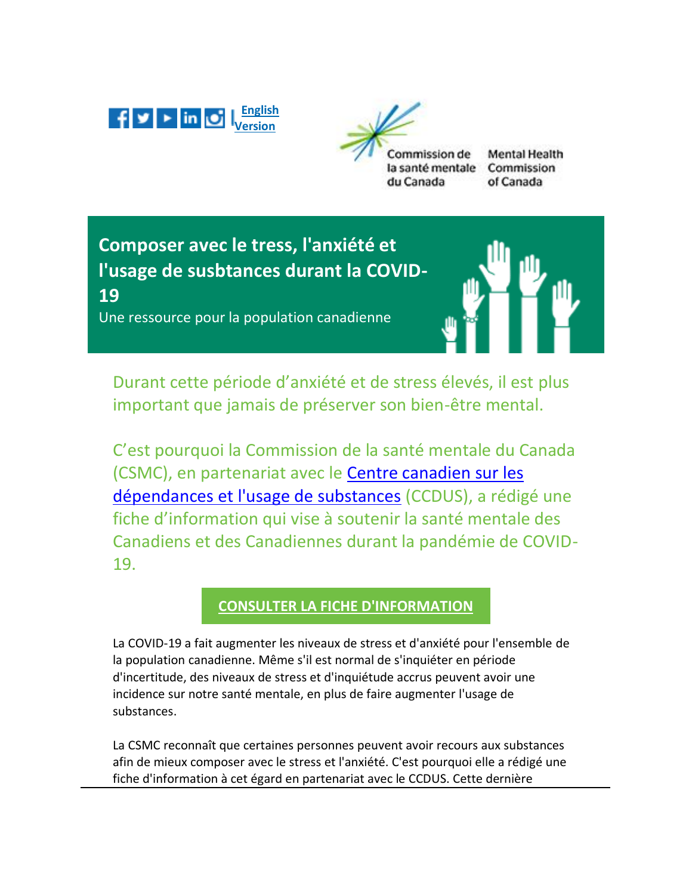



**Mental Health** ommission de la santé mentale Commission du Canada of Canada

**Composer avec le tress, l'anxiété et l'usage de susbtances durant la COVID-19**

Une ressource pour la population canadienne



Durant cette période d'anxiété et de stress élevés, il est plus important que jamais de préserver son bien-être mental.

C'est pourquoi la Commission de la santé mentale du Canada (CSMC), en partenariat avec le [Centre canadien sur les](https://cts.vresp.com/c/?MentalHealthCommissi/62c297a365/ed4edcd803/94ae93700c)  [dépendances et l'usage de substances](https://cts.vresp.com/c/?MentalHealthCommissi/62c297a365/ed4edcd803/94ae93700c) (CCDUS), a rédigé une fiche d'information qui vise à soutenir la santé mentale des Canadiens et des Canadiennes durant la pandémie de COVID-19.

# **[CONSULTER LA FICHE D'INFORMATION](https://cts.vresp.com/c/?MentalHealthCommissi/62c297a365/ed4edcd803/088f181a4b)**

La COVID-19 a fait augmenter les niveaux de stress et d'anxiété pour l'ensemble de la population canadienne. Même s'il est normal de s'inquiéter en période d'incertitude, des niveaux de stress et d'inquiétude accrus peuvent avoir une incidence sur notre santé mentale, en plus de faire augmenter l'usage de substances.

La CSMC reconnaît que certaines personnes peuvent avoir recours aux substances afin de mieux composer avec le stress et l'anxiété. C'est pourquoi elle a rédigé une fiche d'information à cet égard en partenariat avec le CCDUS. Cette dernière